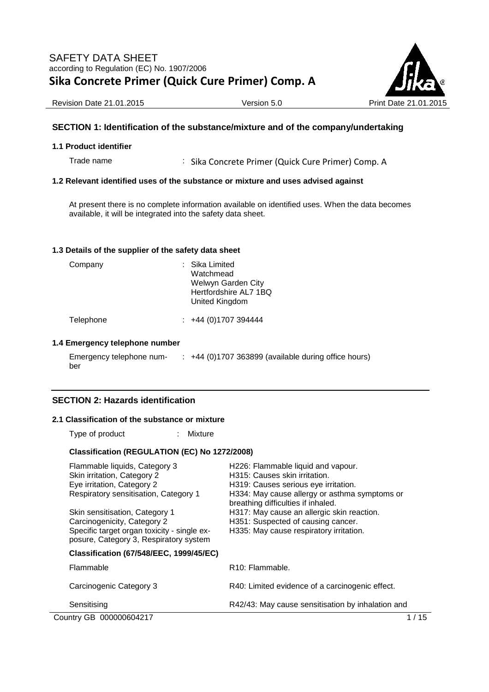

Revision Date 21.01.2015 **Version 5.0** Version 5.0 Print Date 21.01

### **SECTION 1: Identification of the substance/mixture and of the company/undertaking**

#### **1.1 Product identifier**

Trade name : Sika Concrete Primer (Quick Cure Primer) Comp. A

#### **1.2 Relevant identified uses of the substance or mixture and uses advised against**

At present there is no complete information available on identified uses. When the data becomes available, it will be integrated into the safety data sheet.

#### **1.3 Details of the supplier of the safety data sheet**

| Company | : Sika Limited<br>Watchmead<br>Welwyn Garden City<br>Hertfordshire AL7 1BQ<br>United Kingdom |
|---------|----------------------------------------------------------------------------------------------|
|         |                                                                                              |

Telephone : +44 (0)1707 394444

#### **1.4 Emergency telephone number**

Emergency telephone number :  $+44$  (0)1707 363899 (available during office hours)

## **SECTION 2: Hazards identification**

#### **2.1 Classification of the substance or mixture**

Type of product : Mixture

#### **Classification (REGULATION (EC) No 1272/2008)**

| Flammable liquids, Category 3                                                         | H226: Flammable liquid and vapour.                                                  |  |
|---------------------------------------------------------------------------------------|-------------------------------------------------------------------------------------|--|
| Skin irritation, Category 2                                                           | H315: Causes skin irritation.                                                       |  |
| Eye irritation, Category 2                                                            | H319: Causes serious eye irritation.                                                |  |
| Respiratory sensitisation, Category 1                                                 | H334: May cause allergy or asthma symptoms or<br>breathing difficulties if inhaled. |  |
| Skin sensitisation, Category 1                                                        | H317: May cause an allergic skin reaction.                                          |  |
| Carcinogenicity, Category 2                                                           | H351: Suspected of causing cancer.                                                  |  |
| Specific target organ toxicity - single ex-<br>posure, Category 3, Respiratory system | H335: May cause respiratory irritation.                                             |  |
| <b>Classification (67/548/EEC, 1999/45/EC)</b>                                        |                                                                                     |  |
| Flammable                                                                             | R <sub>10</sub> : Flammable.                                                        |  |
| Carcinogenic Category 3                                                               | R40: Limited evidence of a carcinogenic effect.                                     |  |
| Sensitising                                                                           | R42/43: May cause sensitisation by inhalation and                                   |  |
| Country GB 000000604217                                                               | 1 / 15                                                                              |  |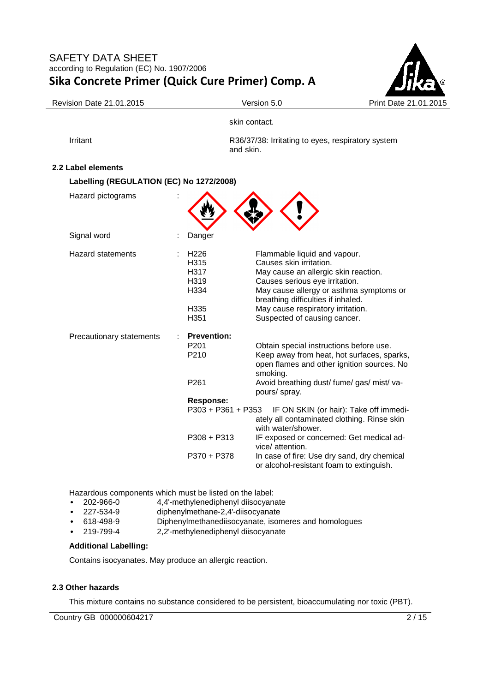

#### Revision Date 21.01.2015 **Version 5.0** Version 5.0 Print Date 21

skin contact.

Irritant **Irritant** R36/37/38: Irritating to eyes, respiratory system and skin.

## **2.2 Label elements**

| Labelling (REGULATION (EC) No 1272/2008) |                                                                     |                                                                                                                                                                                                                                                                                         |
|------------------------------------------|---------------------------------------------------------------------|-----------------------------------------------------------------------------------------------------------------------------------------------------------------------------------------------------------------------------------------------------------------------------------------|
| Hazard pictograms                        |                                                                     |                                                                                                                                                                                                                                                                                         |
| Signal word                              | Danger                                                              |                                                                                                                                                                                                                                                                                         |
| <b>Hazard statements</b>                 | H <sub>226</sub><br>H315<br>H317<br>H319<br>H334<br>H335<br>H351    | Flammable liquid and vapour.<br>Causes skin irritation.<br>May cause an allergic skin reaction.<br>Causes serious eye irritation.<br>May cause allergy or asthma symptoms or<br>breathing difficulties if inhaled.<br>May cause respiratory irritation.<br>Suspected of causing cancer. |
| Precautionary statements                 | <b>Prevention:</b><br>P <sub>201</sub><br>P210<br>P261<br>Response: | Obtain special instructions before use.<br>Keep away from heat, hot surfaces, sparks,<br>open flames and other ignition sources. No<br>smoking.<br>Avoid breathing dust/ fume/ gas/ mist/ va-<br>pours/ spray.                                                                          |
|                                          | P303 + P361 + P353                                                  | IF ON SKIN (or hair): Take off immedi-<br>ately all contaminated clothing. Rinse skin<br>with water/shower.                                                                                                                                                                             |
|                                          | $P308 + P313$                                                       | IF exposed or concerned: Get medical ad-<br>vice/ attention.                                                                                                                                                                                                                            |
|                                          | P370 + P378                                                         | In case of fire: Use dry sand, dry chemical<br>or alcohol-resistant foam to extinguish.                                                                                                                                                                                                 |

Hazardous components which must be listed on the label:

- 202-966-0 4,4'-methylenediphenyl diisocyanate
- diphenylmethane-2,4'-diisocyanate
- 618-498-9 Diphenylmethanediisocyanate, isomeres and homologues
- 219-799-4 2,2'-methylenediphenyl diisocyanate

# **Additional Labelling:**

Contains isocyanates. May produce an allergic reaction.

### **2.3 Other hazards**

This mixture contains no substance considered to be persistent, bioaccumulating nor toxic (PBT).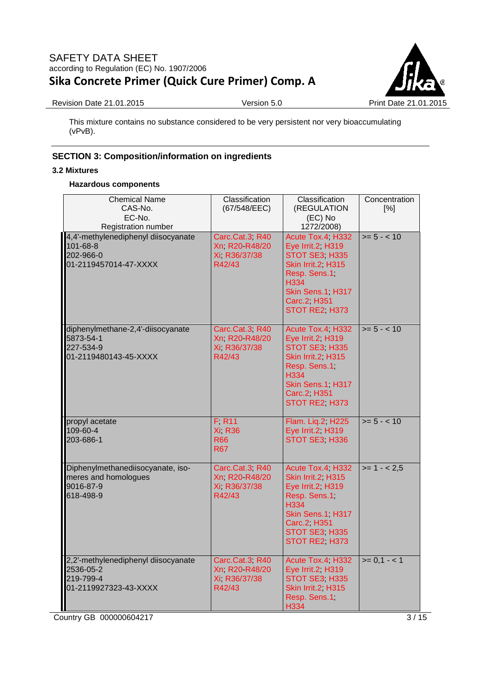

Revision Date 21.01.2015 Version 5.0 Print Date 21.01.2015

This mixture contains no substance considered to be very persistent nor very bioaccumulating (vPvB).

# **SECTION 3: Composition/information on ingredients**

## **3.2 Mixtures**

## **Hazardous components**

| <b>Chemical Name</b><br>CAS-No.<br>EC-No.<br>Registration number                       | Classification<br>(67/548/EEC)                              | Classification<br>(REGULATION<br>(EC) No<br>1272/2008)                                                                                                       | Concentration<br>[%] |
|----------------------------------------------------------------------------------------|-------------------------------------------------------------|--------------------------------------------------------------------------------------------------------------------------------------------------------------|----------------------|
| 4,4'-methylenediphenyl diisocyanate<br>101-68-8<br>202-966-0<br>01-2119457014-47-XXXX  | Carc.Cat.3, R40<br>Xn, R20 R48/20<br>Xi R36/37/38<br>R42/43 | Acute Tox.4, H332<br>Eye Irrit.2, H319<br>STOT SE3 H335<br>Skin Irrit.2, H315<br>Resp. Sens.1<br>H334<br>Skin Sens.1, H317<br>Carc.2, H351<br>STOT RE2, H373 | $>= 5 - < 10$        |
| diphenylmethane-2,4'-diisocyanate<br>5873-54-1<br>227-534-9<br>01-2119480143-45-XXXX   | Carc.Cat.3, R40<br>Xn, R20 R48/20<br>Xi R36/37/38<br>R42/43 | Acute Tox.4, H332<br>Eye Irrit.2, H319<br>STOT SE3 H335<br>Skin Irrit.2, H315<br>Resp. Sens.1<br>H334<br>Skin Sens.1, H317<br>Carc.2, H351<br>STOT RE2, H373 | $>= 5 - < 10$        |
| propyl acetate<br>109-60-4<br>203-686-1                                                | F R11<br><b>Xi R36</b><br><b>R66</b><br><b>R67</b>          | Flam. Liq.2, H225<br>Eye Irrit.2, H319<br>STOT SE3 H336                                                                                                      | $>= 5 - < 10$        |
| Diphenylmethanediisocyanate, iso-<br>meres and homologues<br>9016-87-9<br>618-498-9    | Carc.Cat.3, R40<br>Xn, R20 R48/20<br>Xi R36/37/38<br>R42/43 | Acute Tox.4, H332<br>Skin Irrit.2, H315<br>Eye Irrit.2, H319<br>Resp. Sens.1<br>H334<br>Skin Sens.1, H317<br>Carc.2, H351<br>STOT SE3 H335<br>STOT RE2, H373 | $>= 1 - 2.5$         |
| 2,2'-methylenediphenyl diisocyanate<br>2536-05-2<br>219-799-4<br>01-2119927323-43-XXXX | Carc.Cat.3, R40<br>Xn R20 R48/20<br>Xi R36/37/38<br>R42/43  | Acute Tox.4, H332<br>Eye Irrit.2, H319<br>STOT SE3 H335<br>Skin Irrit.2, H315<br>Resp. Sens.1<br>H334                                                        | $>= 0, 1 - 1$        |

Country GB 000000604217 3/15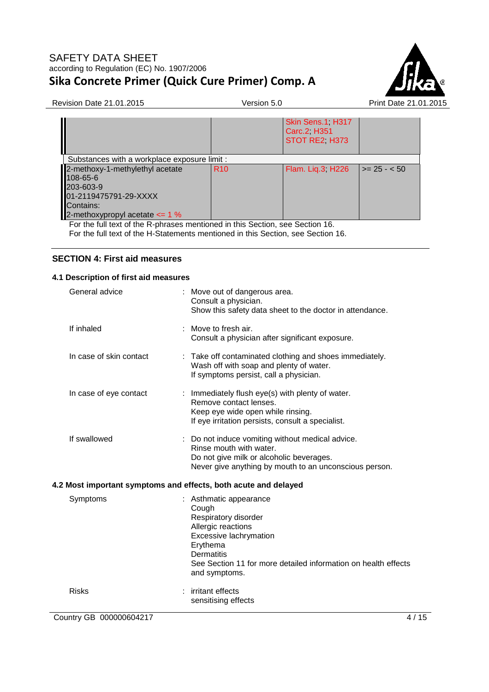

Revision Date 21.01.2015 Version 5.0 Print Date 21.01.2015

|                                                                                                                                      |                 | Skin Sens.1, H317<br>Carc.2, H351<br>STOT RE2, H373 |                      |
|--------------------------------------------------------------------------------------------------------------------------------------|-----------------|-----------------------------------------------------|----------------------|
| Substances with a workplace exposure limit :                                                                                         |                 |                                                     |                      |
| 2-methoxy-1-methylethyl acetate<br>108-65-6<br>203-603-9<br>01-2119475791-29-XXXX<br>Contains:<br>2-methoxypropyl acetate $\leq$ 1 % | R <sub>10</sub> | Flam. Liq.3; H226                                   | $\vert$ >= 25 - < 50 |

For the full text of the R-phrases mentioned in this Section, see Section 16. For the full text of the H-Statements mentioned in this Section, see Section 16.

## **SECTION 4: First aid measures**

#### **4.1 Description of first aid measures**

| General advice          | Move out of dangerous area.<br>Consult a physician.<br>Show this safety data sheet to the doctor in attendance.                                                                                                    |
|-------------------------|--------------------------------------------------------------------------------------------------------------------------------------------------------------------------------------------------------------------|
| If inhaled              | : Move to fresh air.<br>Consult a physician after significant exposure.                                                                                                                                            |
| In case of skin contact | Take off contaminated clothing and shoes immediately.<br>Wash off with soap and plenty of water.<br>If symptoms persist, call a physician.                                                                         |
| In case of eye contact  | : Immediately flush eye(s) with plenty of water.<br>Remove contact lenses.<br>Keep eye wide open while rinsing.<br>If eye irritation persists, consult a specialist.                                               |
| If swallowed            | Do not induce vomiting without medical advice.<br>Rinse mouth with water.<br>Do not give milk or alcoholic beverages.<br>Never give anything by mouth to an unconscious person.                                    |
|                         | 4.2 Most important symptoms and effects, both acute and delayed                                                                                                                                                    |
| Symptoms                | Asthmatic appearance<br>Cough<br>Respiratory disorder<br>Allergic reactions<br>Excessive lachrymation<br>Erythema<br>Dermatitis<br>See Section 11 for more detailed information on health effects<br>and symptoms. |
| <b>Risks</b>            | irritant effects<br>sensitising effects                                                                                                                                                                            |
| Country GB 000000604217 | 4/15                                                                                                                                                                                                               |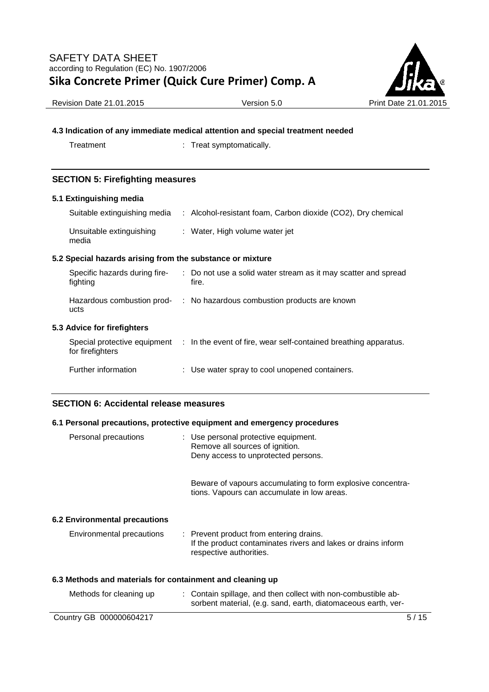

Revision Date 21.01.2015 Version 5.0 Print Date 21.01.2015

## **4.3 Indication of any immediate medical attention and special treatment needed**

Treatment : Treat symptomatically.

## **SECTION 5: Firefighting measures**

#### **5.1 Extinguishing media**

| Suitable extinguishing media                              | : Alcohol-resistant foam, Carbon dioxide (CO2), Dry chemical                                  |
|-----------------------------------------------------------|-----------------------------------------------------------------------------------------------|
| Unsuitable extinguishing<br>media                         | : Water, High volume water jet                                                                |
| 5.2 Special hazards arising from the substance or mixture |                                                                                               |
| Specific hazards during fire-<br>fighting                 | : Do not use a solid water stream as it may scatter and spread<br>fire.                       |
| ucts                                                      | Hazardous combustion prod- : No hazardous combustion products are known                       |
| 5.3 Advice for firefighters                               |                                                                                               |
| for firefighters                                          | Special protective equipment : In the event of fire, wear self-contained breathing apparatus. |
| Further information                                       | : Use water spray to cool unopened containers.                                                |

### **SECTION 6: Accidental release measures**

### **6.1 Personal precautions, protective equipment and emergency procedures**

| Personal precautions                                      | : Use personal protective equipment.<br>Remove all sources of ignition.<br>Deny access to unprotected persons.                      |  |  |  |
|-----------------------------------------------------------|-------------------------------------------------------------------------------------------------------------------------------------|--|--|--|
|                                                           | Beware of vapours accumulating to form explosive concentra-<br>tions. Vapours can accumulate in low areas.                          |  |  |  |
| 6.2 Environmental precautions                             |                                                                                                                                     |  |  |  |
| Environmental precautions                                 | : Prevent product from entering drains.<br>If the product contaminates rivers and lakes or drains inform<br>respective authorities. |  |  |  |
| 6.3 Methods and materials for containment and cleaning up |                                                                                                                                     |  |  |  |
| Methods for cleaning up                                   | : Contain spillage, and then collect with non-combustible ab-<br>sorbent material, (e.g. sand, earth, diatomaceous earth, ver-      |  |  |  |

Country GB 000000604217 5/15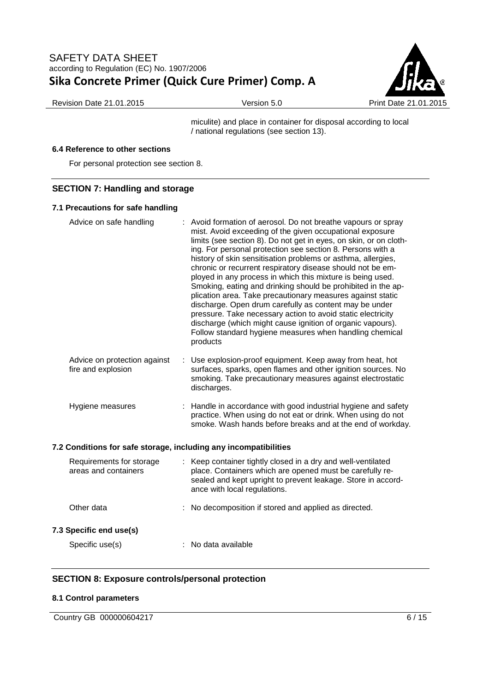

Revision Date 21.01.2015 Version 5.0 Print Date 21.01.2015

miculite) and place in container for disposal according to local / national regulations (see section 13).

### **6.4 Reference to other sections**

For personal protection see section 8.

## **SECTION 7: Handling and storage**

#### **7.1 Precautions for safe handling**

| Advice on safe handling                                          |   | : Avoid formation of aerosol. Do not breathe vapours or spray<br>mist. Avoid exceeding of the given occupational exposure<br>limits (see section 8). Do not get in eyes, on skin, or on cloth-<br>ing. For personal protection see section 8. Persons with a<br>history of skin sensitisation problems or asthma, allergies,<br>chronic or recurrent respiratory disease should not be em-<br>ployed in any process in which this mixture is being used.<br>Smoking, eating and drinking should be prohibited in the ap-<br>plication area. Take precautionary measures against static<br>discharge. Open drum carefully as content may be under<br>pressure. Take necessary action to avoid static electricity<br>discharge (which might cause ignition of organic vapours).<br>Follow standard hygiene measures when handling chemical<br>products |
|------------------------------------------------------------------|---|------------------------------------------------------------------------------------------------------------------------------------------------------------------------------------------------------------------------------------------------------------------------------------------------------------------------------------------------------------------------------------------------------------------------------------------------------------------------------------------------------------------------------------------------------------------------------------------------------------------------------------------------------------------------------------------------------------------------------------------------------------------------------------------------------------------------------------------------------|
| Advice on protection against<br>fire and explosion               | ÷ | Use explosion-proof equipment. Keep away from heat, hot<br>surfaces, sparks, open flames and other ignition sources. No<br>smoking. Take precautionary measures against electrostatic<br>discharges.                                                                                                                                                                                                                                                                                                                                                                                                                                                                                                                                                                                                                                                 |
| Hygiene measures                                                 |   | : Handle in accordance with good industrial hygiene and safety<br>practice. When using do not eat or drink. When using do not<br>smoke. Wash hands before breaks and at the end of workday.                                                                                                                                                                                                                                                                                                                                                                                                                                                                                                                                                                                                                                                          |
| 7.2 Conditions for safe storage, including any incompatibilities |   |                                                                                                                                                                                                                                                                                                                                                                                                                                                                                                                                                                                                                                                                                                                                                                                                                                                      |
| Requirements for storage<br>areas and containers                 |   | Keep container tightly closed in a dry and well-ventilated<br>place. Containers which are opened must be carefully re-<br>sealed and kept upright to prevent leakage. Store in accord-<br>ance with local regulations.                                                                                                                                                                                                                                                                                                                                                                                                                                                                                                                                                                                                                               |
| Other data                                                       |   | No decomposition if stored and applied as directed.                                                                                                                                                                                                                                                                                                                                                                                                                                                                                                                                                                                                                                                                                                                                                                                                  |
| 7.3 Specific end use(s)                                          |   |                                                                                                                                                                                                                                                                                                                                                                                                                                                                                                                                                                                                                                                                                                                                                                                                                                                      |

Specific use(s)  $\qquad \qquad$ : No data available

# **SECTION 8: Exposure controls/personal protection**

### **8.1 Control parameters**

Country GB 000000604217 6/15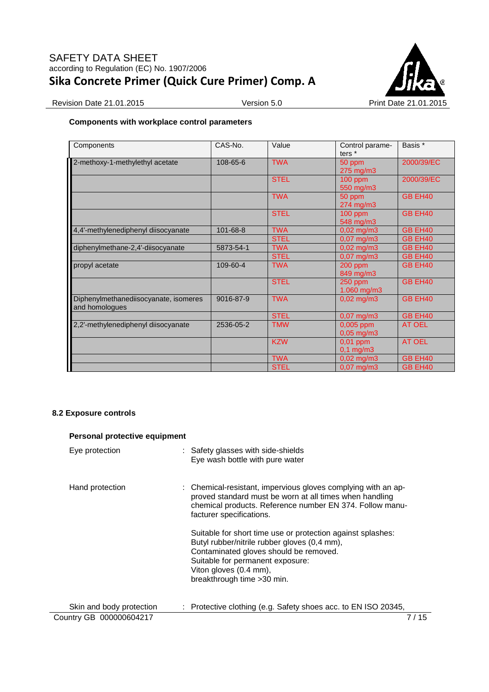

Revision Date 21.01.2015 Version 5.0 Version 5.0 Print Date 21.01.2015

## **Components with workplace control parameters**

| Components                                              | CAS-No.   | Value       | Control parame-<br>ters $*$           | Basis *       |
|---------------------------------------------------------|-----------|-------------|---------------------------------------|---------------|
| 2-methoxy-1-methylethyl acetate                         | 108-65-6  | <b>TWA</b>  | 50 ppm<br>$275$ mg/m $3$              | 2000/39/EC    |
|                                                         |           | <b>STEL</b> | 100 ppm<br>550 mg/m3                  | 2000/39/EC    |
|                                                         |           | <b>TWA</b>  | 50 ppm<br>$274$ mg/m $3$              | GB EH40       |
|                                                         |           | <b>STEL</b> | 100 ppm<br>548 mg/m3                  | GB EH40       |
| 4,4'-methylenediphenyl diisocyanate                     | 101-68-8  | <b>TWA</b>  | $0,02 \text{ mg/m}$ 3                 | GB EH40       |
|                                                         |           | <b>STEL</b> | $0,07 \text{ mg/m}$ 3                 | GB EH40       |
| diphenylmethane-2,4'-diisocyanate                       | 5873-54-1 | <b>TWA</b>  | $0,02 \text{ mg/m}$ 3                 | GB EH40       |
|                                                         |           | <b>STEL</b> | $0,07 \text{ mg/m}$ 3                 | GB EH40       |
| propyl acetate                                          | 109-60-4  | <b>TWA</b>  | $200$ ppm<br>849 mg/m3                | GB EH40       |
|                                                         |           | <b>STEL</b> | $250$ ppm<br>$1.060$ mg/m $3$         | GB EH40       |
| Diphenylmethanediisocyanate, isomeres<br>and homologues | 9016-87-9 | <b>TWA</b>  | $0.02 \text{ mg/m}$ 3                 | GB EH40       |
|                                                         |           | <b>STEL</b> | $0.07$ mg/m $3$                       | GB EH40       |
| 2,2'-methylenediphenyl diisocyanate                     | 2536-05-2 | TMW         | $0,005$ ppm<br>$0,05 \,\mathrm{mg/m}$ | <b>AT OEL</b> |
|                                                         |           | <b>KZW</b>  | $0.01$ ppm<br>$0,1$ mg/m $3$          | <b>AT OEL</b> |
|                                                         |           | <b>TWA</b>  | $0,02$ mg/m3                          | GB EH40       |
|                                                         |           | <b>STEL</b> | $0,07$ mg/m3                          | GB EH40       |

## **8.2 Exposure controls**

| Personal protective equipment |                                                                                                                                                                                                                                                    |
|-------------------------------|----------------------------------------------------------------------------------------------------------------------------------------------------------------------------------------------------------------------------------------------------|
| Eye protection                | : Safety glasses with side-shields<br>Eye wash bottle with pure water                                                                                                                                                                              |
| Hand protection               | : Chemical-resistant, impervious gloves complying with an ap-<br>proved standard must be worn at all times when handling<br>chemical products. Reference number EN 374. Follow manu-<br>facturer specifications.                                   |
|                               | Suitable for short time use or protection against splashes:<br>Butyl rubber/nitrile rubber gloves (0,4 mm),<br>Contaminated gloves should be removed.<br>Suitable for permanent exposure:<br>Viton gloves (0.4 mm),<br>breakthrough time > 30 min. |
| Skin and body protection      | : Protective clothing (e.g. Safety shoes acc. to EN ISO 20345,                                                                                                                                                                                     |
| Country GB 000000604217       | 7 / 15                                                                                                                                                                                                                                             |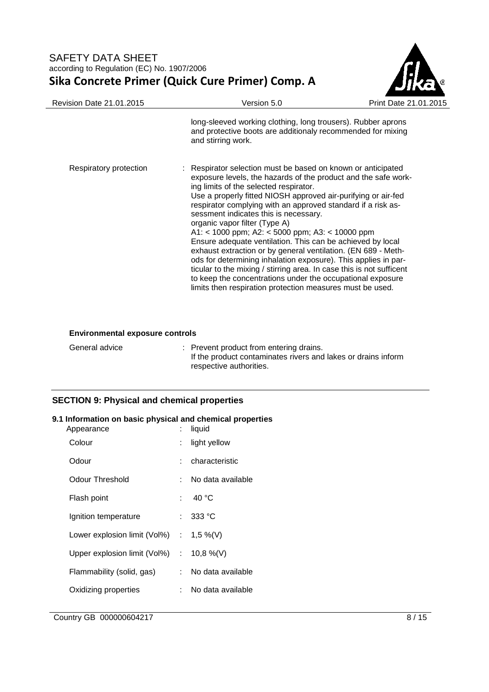

| <b>Revision Date 21.01.2015</b> | Version 5.0                                                                                                                                                                                                                                                                                                                                                                                                                                                                                                                                                                                                                                                                                                                                                                                                                                | Print Date 21.0 |
|---------------------------------|--------------------------------------------------------------------------------------------------------------------------------------------------------------------------------------------------------------------------------------------------------------------------------------------------------------------------------------------------------------------------------------------------------------------------------------------------------------------------------------------------------------------------------------------------------------------------------------------------------------------------------------------------------------------------------------------------------------------------------------------------------------------------------------------------------------------------------------------|-----------------|
|                                 | long-sleeved working clothing, long trousers). Rubber aprons<br>and protective boots are additionaly recommended for mixing<br>and stirring work.                                                                                                                                                                                                                                                                                                                                                                                                                                                                                                                                                                                                                                                                                          |                 |
| Respiratory protection          | : Respirator selection must be based on known or anticipated<br>exposure levels, the hazards of the product and the safe work-<br>ing limits of the selected respirator.<br>Use a properly fitted NIOSH approved air-purifying or air-fed<br>respirator complying with an approved standard if a risk as-<br>sessment indicates this is necessary.<br>organic vapor filter (Type A)<br>A1: < 1000 ppm; A2: < 5000 ppm; A3: < 10000 ppm<br>Ensure adequate ventilation. This can be achieved by local<br>exhaust extraction or by general ventilation. (EN 689 - Meth-<br>ods for determining inhalation exposure). This applies in par-<br>ticular to the mixing / stirring area. In case this is not sufficent<br>to keep the concentrations under the occupational exposure<br>limits then respiration protection measures must be used. |                 |

## **Environmental exposure controls**

| General advice | : Prevent product from entering drains.<br>If the product contaminates rivers and lakes or drains inform |
|----------------|----------------------------------------------------------------------------------------------------------|
|                | respective authorities.                                                                                  |

## **SECTION 9: Physical and chemical properties**

# **9.1 Information on basic physical and chemical properties**

| Appearance                                  |    | liquid            |
|---------------------------------------------|----|-------------------|
| Colour                                      |    | light yellow      |
| Odour                                       |    | characteristic    |
| Odour Threshold                             | t. | No data available |
| Flash point                                 |    | : 40 °C           |
| Ignition temperature                        | t. | 333 °C            |
| Lower explosion limit (Vol%)                |    | : 1,5 %(V)        |
| Upper explosion limit (Vol%) : $10,8\%$ (V) |    |                   |
| Flammability (solid, gas)                   | t. | No data available |
| Oxidizing properties                        | t. | No data available |
|                                             |    |                   |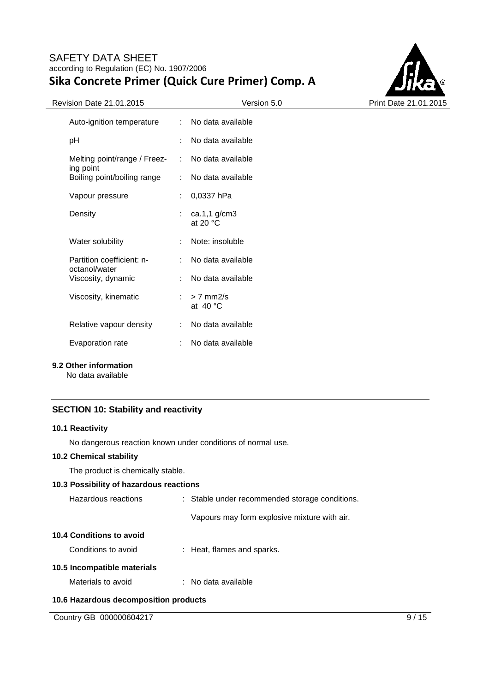

| $\frac{1}{2}$                              |                           | ,,,,,,,,,,                             |
|--------------------------------------------|---------------------------|----------------------------------------|
| Auto-ignition temperature                  | $\mathcal{L}$             | No data available                      |
| рH                                         | ÷                         | No data available                      |
| Melting point/range / Freez-               | $\mathbb{R}^{\mathbb{Z}}$ | No data available                      |
| ing point<br>Boiling point/boiling range   | t.                        | No data available                      |
| Vapour pressure                            | t.                        | 0,0337 hPa                             |
| Density                                    |                           | : $ca.1,1$ g/cm3<br>at 20 $\degree$ C  |
| Water solubility                           | ÷                         | Note: insoluble                        |
| Partition coefficient: n-<br>octanol/water | t.                        | No data available                      |
| Viscosity, dynamic                         | t.                        | No data available                      |
| Viscosity, kinematic                       |                           | $: z \ge 7$ mm2/s<br>at $40^{\circ}$ C |
| Relative vapour density                    | t.                        | No data available                      |
| Evaporation rate                           | t.                        | No data available                      |
|                                            |                           |                                        |

## **9.2 Other information**

No data available

## **SECTION 10: Stability and reactivity**

### **10.1 Reactivity**

No dangerous reaction known under conditions of normal use.

### **10.2 Chemical stability**

The product is chemically stable.

| 10.3 Possibility of hazardous reactions |                                                |
|-----------------------------------------|------------------------------------------------|
| Hazardous reactions                     | : Stable under recommended storage conditions. |
|                                         | Vapours may form explosive mixture with air.   |
| 10.4 Conditions to avoid                |                                                |
| Conditions to avoid                     | : Heat, flames and sparks.                     |
| 10.5 Incompatible materials             |                                                |
| Materials to avoid                      | : No data available                            |
| 10.6 Hazardous decomposition products   |                                                |

Country GB 000000604217 9/15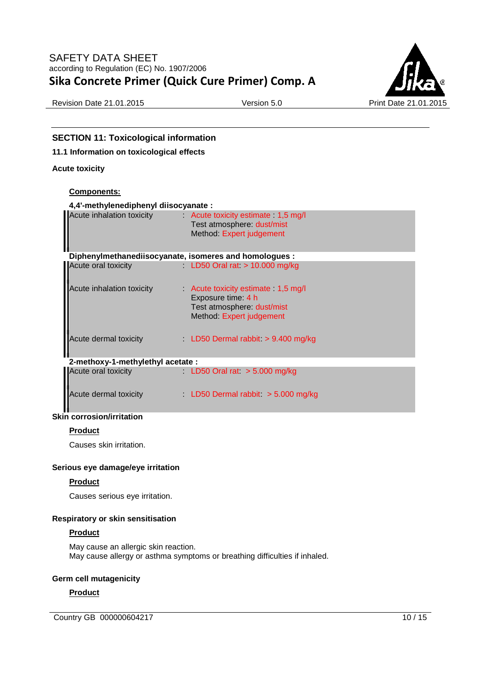

Revision Date 21.01.2015 Version 5.0 Print Date 21.01.2015

## **SECTION 11: Toxicological information**

### **11.1 Information on toxicological effects**

#### **Acute toxicity**

#### **Components:**

### **4,4'-methylenediphenyl diisocyanate :**

| $\mathbf{u}$ $\mathbf{u}$ $\mathbf{u}$ $\mathbf{u}$ $\mathbf{u}$ $\mathbf{v}$ $\mathbf{u}$ $\mathbf{v}$ $\mathbf{u}$ $\mathbf{v}$ $\mathbf{u}$ $\mathbf{v}$ $\mathbf{v}$ $\mathbf{v}$ $\mathbf{v}$ $\mathbf{v}$ $\mathbf{v}$ $\mathbf{v}$ $\mathbf{v}$ $\mathbf{v}$ $\mathbf{v}$ $\mathbf{v}$ $\mathbf{v}$ $\mathbf{v}$ $\mathbf{$ |                                                                                                                  |
|------------------------------------------------------------------------------------------------------------------------------------------------------------------------------------------------------------------------------------------------------------------------------------------------------------------------------------|------------------------------------------------------------------------------------------------------------------|
| Acute inhalation toxicity                                                                                                                                                                                                                                                                                                          | Acute toxicity estimate 1,5 mg/l<br>Test atmosphere: dust/mist<br>Method: Expert judgement                       |
|                                                                                                                                                                                                                                                                                                                                    | Diphenylmethanediisocyanate, isomeres and homologues :                                                           |
| Acute oral toxicity                                                                                                                                                                                                                                                                                                                | LD50 Oral rat $> 10.000$ mg/kg                                                                                   |
| Acute inhalation toxicity                                                                                                                                                                                                                                                                                                          | Acute toxicity estimate 1,5 mg/l<br>Exposure time: 4 h<br>Test atmosphere: dust/mist<br>Method: Expert judgement |
| Acute dermal toxicity                                                                                                                                                                                                                                                                                                              | LD50 Dermal rabbit $> 9.400$ mg/kg                                                                               |
| 2-methoxy-1-methylethyl acetate:                                                                                                                                                                                                                                                                                                   |                                                                                                                  |
| Acute oral toxicity                                                                                                                                                                                                                                                                                                                | LD50 Oral rat $> 5.000$ mg/kg                                                                                    |
| Acute dermal toxicity and the state                                                                                                                                                                                                                                                                                                | LD50 Dermal rabbit $>$ 5.000 mg/kg                                                                               |
| <b>Skin corrosion/irritation</b>                                                                                                                                                                                                                                                                                                   |                                                                                                                  |

## **Product**

Causes skin irritation.

#### **Serious eye damage/eye irritation**

#### **Product**

Causes serious eye irritation.

#### **Respiratory or skin sensitisation**

#### **Product**

May cause an allergic skin reaction. May cause allergy or asthma symptoms or breathing difficulties if inhaled.

#### **Germ cell mutagenicity**

### **Product**

Country GB 000000604217 10 / 15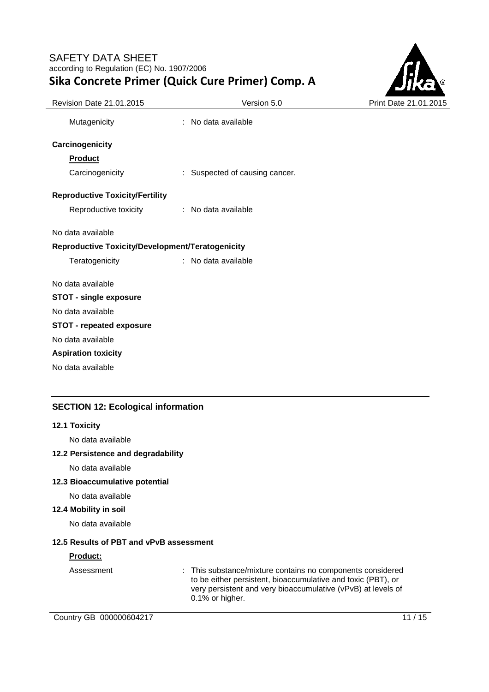

| Revision Date 21.01.2015                         | Version 5.0                    | Print Date 21.01.2015 |
|--------------------------------------------------|--------------------------------|-----------------------|
| Mutagenicity                                     | : No data available            |                       |
| Carcinogenicity                                  |                                |                       |
| <b>Product</b>                                   |                                |                       |
| Carcinogenicity                                  | : Suspected of causing cancer. |                       |
| <b>Reproductive Toxicity/Fertility</b>           |                                |                       |
| Reproductive toxicity                            | : No data available            |                       |
| No data available                                |                                |                       |
| Reproductive Toxicity/Development/Teratogenicity |                                |                       |
| Teratogenicity                                   | : No data available            |                       |
| No data available                                |                                |                       |
| <b>STOT - single exposure</b>                    |                                |                       |
| No data available                                |                                |                       |
| <b>STOT - repeated exposure</b>                  |                                |                       |
| No data available                                |                                |                       |
| <b>Aspiration toxicity</b>                       |                                |                       |
| No data available                                |                                |                       |
|                                                  |                                |                       |

# **SECTION 12: Ecological information**

#### **12.1 Toxicity**

No data available

## **12.2 Persistence and degradability**

No data available

## **12.3 Bioaccumulative potential**

No data available

### **12.4 Mobility in soil**

No data available

### **12.5 Results of PBT and vPvB assessment**

#### **Product:**

Assessment : This substance/mixture contains no components considered to be either persistent, bioaccumulative and toxic (PBT), or very persistent and very bioaccumulative (vPvB) at levels of 0.1% or higher.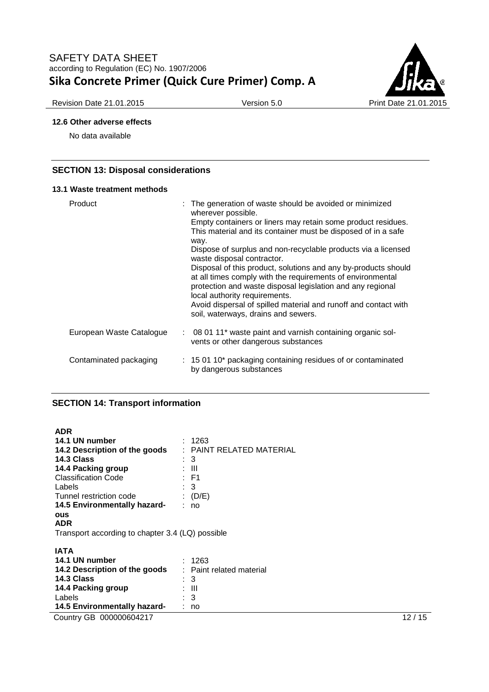

## **12.6 Other adverse effects**

No data available

## **SECTION 13: Disposal considerations**

#### **13.1 Waste treatment methods**

| Product                  | wherever possible.<br>way. | : The generation of waste should be avoided or minimized<br>Empty containers or liners may retain some product residues.<br>This material and its container must be disposed of in a safe<br>Dispose of surplus and non-recyclable products via a licensed<br>waste disposal contractor.<br>Disposal of this product, solutions and any by-products should<br>at all times comply with the requirements of environmental<br>protection and waste disposal legislation and any regional<br>local authority requirements.<br>Avoid dispersal of spilled material and runoff and contact with<br>soil, waterways, drains and sewers. |
|--------------------------|----------------------------|-----------------------------------------------------------------------------------------------------------------------------------------------------------------------------------------------------------------------------------------------------------------------------------------------------------------------------------------------------------------------------------------------------------------------------------------------------------------------------------------------------------------------------------------------------------------------------------------------------------------------------------|
| European Waste Catalogue |                            | : 08 01 11* waste paint and varnish containing organic sol-<br>vents or other dangerous substances                                                                                                                                                                                                                                                                                                                                                                                                                                                                                                                                |
| Contaminated packaging   |                            | : 15 01 10* packaging containing residues of or contaminated<br>by dangerous substances                                                                                                                                                                                                                                                                                                                                                                                                                                                                                                                                           |

## **SECTION 14: Transport information**

| <b>ADR</b><br>14.1 UN number<br>14.2 Description of the goods<br>14.3 Class<br>14.4 Packing group<br><b>Classification Code</b><br>Labels<br>Tunnel restriction code<br>14.5 Environmentally hazard-<br><b>OUS</b><br><b>ADR</b> | : 1263<br>: PAINT RELATED MATERIAL<br>$\therefore$ 3<br>: III<br>: F1<br>$\therefore$ 3<br>(D/E)<br>: no |       |
|----------------------------------------------------------------------------------------------------------------------------------------------------------------------------------------------------------------------------------|----------------------------------------------------------------------------------------------------------|-------|
| Transport according to chapter 3.4 (LQ) possible                                                                                                                                                                                 |                                                                                                          |       |
| <b>IATA</b><br>14.1 UN number<br>14.2 Description of the goods<br>14.3 Class<br>14.4 Packing group<br>Labels<br>14.5 Environmentally hazard-                                                                                     | : 1263<br>: Paint related material<br>$\therefore$ 3<br>: III<br>$\therefore$ 3<br>: no                  |       |
| Country GB 000000604217                                                                                                                                                                                                          |                                                                                                          | 12/15 |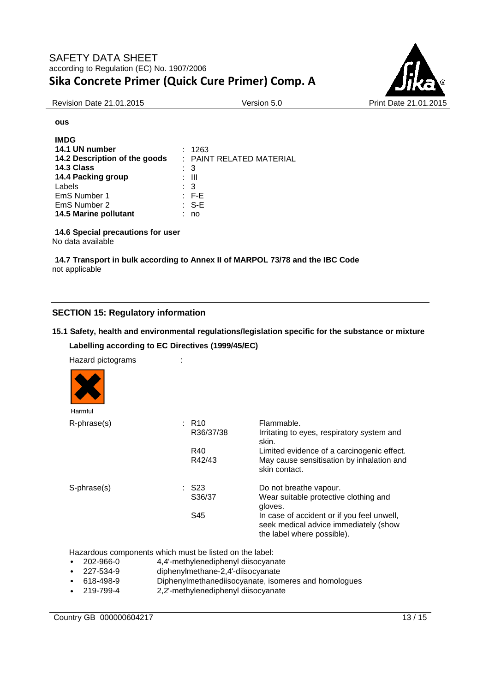

Revision Date 21.01.2015 **Version 5.0** Print Date 21.01.2015

**ous**

| <b>IMDG</b>                   |                          |
|-------------------------------|--------------------------|
| 14.1 UN number                | : 1263                   |
| 14.2 Description of the goods | : PAINT RELATED MATERIAL |
| 14.3 Class                    | : 3                      |
| 14.4 Packing group            | : III                    |
| Labels                        | : 3                      |
| EmS Number 1                  | $\therefore$ F-E         |
| EmS Number 2                  | $\therefore$ S-E         |
| 14.5 Marine pollutant         | no                       |

**14.6 Special precautions for user**

No data available

**14.7 Transport in bulk according to Annex II of MARPOL 73/78 and the IBC Code** not applicable

# **SECTION 15: Regulatory information**

## **15.1 Safety, health and environmental regulations/legislation specific for the substance or mixture**

**Labelling according to EC Directives (1999/45/EC)** 

Hazard pictograms :

| Harmful     |                     |                                                                                                                   |
|-------------|---------------------|-------------------------------------------------------------------------------------------------------------------|
| R-phrase(s) | $:$ R <sub>10</sub> | Flammable.                                                                                                        |
|             | R36/37/38           | Irritating to eyes, respiratory system and<br>skin.                                                               |
|             | R40                 | Limited evidence of a carcinogenic effect.                                                                        |
|             | R42/43              | May cause sensitisation by inhalation and<br>skin contact.                                                        |
| S-phrase(s) | : S23               | Do not breathe vapour.                                                                                            |
|             | S36/37              | Wear suitable protective clothing and<br>gloves.                                                                  |
|             | S45                 | In case of accident or if you feel unwell,<br>seek medical advice immediately (show<br>the label where possible). |

Hazardous components which must be listed on the label:

- 202-966-0 4,4'-methylenediphenyl diisocyanate
- 227-534-9 diphenylmethane-2,4'-diisocyanate
- 618-498-9 Diphenylmethanediisocyanate, isomeres and homologues
- 2.2'-methylenediphenyl diisocyanate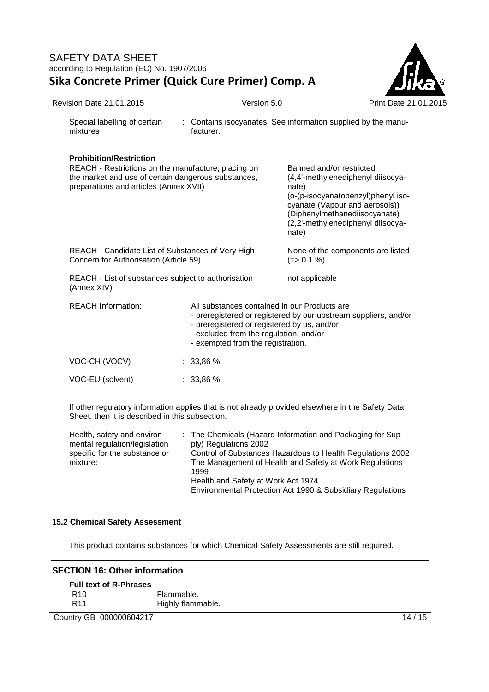

| <b>Revision Date 21.01.2015</b>                                                                                                                                                        | Version 5.0                                                                                                                                                                                                                                   |                                                                                                                                                                                                                                 | Print Date 21.01.2015 |
|----------------------------------------------------------------------------------------------------------------------------------------------------------------------------------------|-----------------------------------------------------------------------------------------------------------------------------------------------------------------------------------------------------------------------------------------------|---------------------------------------------------------------------------------------------------------------------------------------------------------------------------------------------------------------------------------|-----------------------|
| Special labelling of certain<br>mixtures                                                                                                                                               | : Contains isocyanates. See information supplied by the manu-<br>facturer.                                                                                                                                                                    |                                                                                                                                                                                                                                 |                       |
| <b>Prohibition/Restriction</b><br>REACH - Restrictions on the manufacture, placing on<br>the market and use of certain dangerous substances,<br>preparations and articles (Annex XVII) |                                                                                                                                                                                                                                               | : Banned and/or restricted<br>(4,4'-methylenediphenyl diisocya-<br>nate)<br>(o-(p-isocyanatobenzyl)phenyl iso-<br>cyanate (Vapour and aerosols))<br>(Diphenylmethanediisocyanate)<br>(2,2'-methylenediphenyl diisocya-<br>nate) |                       |
| REACH - Candidate List of Substances of Very High<br>Concern for Authorisation (Article 59).                                                                                           |                                                                                                                                                                                                                                               | : None of the components are listed<br>$(=>0.1\%).$                                                                                                                                                                             |                       |
| REACH - List of substances subject to authorisation<br>(Annex XIV)                                                                                                                     |                                                                                                                                                                                                                                               | : not applicable                                                                                                                                                                                                                |                       |
| <b>REACH Information:</b>                                                                                                                                                              | All substances contained in our Products are<br>- preregistered or registered by our upstream suppliers, and/or<br>- preregistered or registered by us, and/or<br>- excluded from the regulation, and/or<br>- exempted from the registration. |                                                                                                                                                                                                                                 |                       |
| VOC-CH (VOCV)                                                                                                                                                                          | : 33,86%                                                                                                                                                                                                                                      |                                                                                                                                                                                                                                 |                       |
| VOC-EU (solvent)                                                                                                                                                                       | : 33,86%                                                                                                                                                                                                                                      |                                                                                                                                                                                                                                 |                       |
|                                                                                                                                                                                        |                                                                                                                                                                                                                                               |                                                                                                                                                                                                                                 |                       |

If other regulatory information applies that is not already provided elsewhere in the Safety Data Sheet, then it is described in this subsection.

| Health, safety and environ-   | : The Chemicals (Hazard Information and Packaging for Sup- |
|-------------------------------|------------------------------------------------------------|
| mental regulation/legislation | ply) Regulations 2002                                      |
| specific for the substance or | Control of Substances Hazardous to Health Regulations 2002 |
| mixture:                      | The Management of Health and Safety at Work Regulations    |
|                               | 1999                                                       |
|                               | Health and Safety at Work Act 1974                         |
|                               | Environmental Protection Act 1990 & Subsidiary Regulations |

### **15.2 Chemical Safety Assessment**

This product contains substances for which Chemical Safety Assessments are still required.

### **SECTION 16: Other information**

| <b>Full text of R-Phrases</b> |                   |
|-------------------------------|-------------------|
| R <sub>10</sub>               | Flammable.        |
| R <sub>11</sub>               | Highly flammable. |

Country GB 000000604217 14 / 15